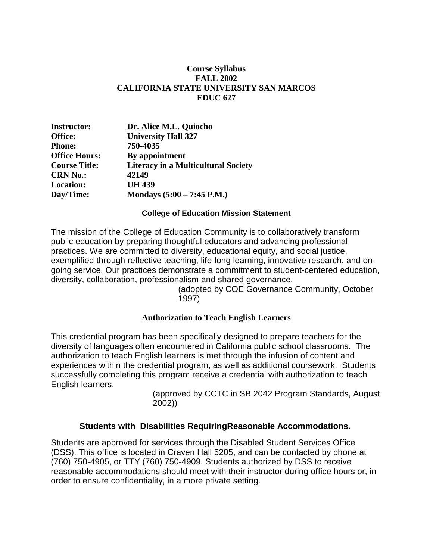#### **Course Syllabus FALL 2002 CALIFORNIA STATE UNIVERSITY SAN MARCOS EDUC 627**

| <b>Instructor:</b>   | Dr. Alice M.L. Quiocho                     |
|----------------------|--------------------------------------------|
| Office:              | <b>University Hall 327</b>                 |
| <b>Phone:</b>        | 750-4035                                   |
| <b>Office Hours:</b> | By appointment                             |
| <b>Course Title:</b> | <b>Literacy in a Multicultural Society</b> |
| <b>CRN No.:</b>      | 42149                                      |
| <b>Location:</b>     | <b>UH 439</b>                              |
| Day/Time:            | Mondays $(5:00 - 7:45 \text{ P.M.})$       |

#### **College of Education Mission Statement**

The mission of the College of Education Community is to collaboratively transform public education by preparing thoughtful educators and advancing professional practices. We are committed to diversity, educational equity, and social justice, exemplified through reflective teaching, life-long learning, innovative research, and ongoing service. Our practices demonstrate a commitment to student-centered education, diversity, collaboration, professionalism and shared governance.

(adopted by COE Governance Community, October 1997)

#### **Authorization to Teach English Learners**

This credential program has been specifically designed to prepare teachers for the diversity of languages often encountered in California public school classrooms. The authorization to teach English learners is met through the infusion of content and experiences within the credential program, as well as additional coursework. Students successfully completing this program receive a credential with authorization to teach English learners.

> (approved by CCTC in SB 2042 Program Standards, August 2002))

#### **Students with Disabilities RequiringReasonable Accommodations.**

Students are approved for services through the Disabled Student Services Office (DSS). This office is located in Craven Hall 5205, and can be contacted by phone at (760) 750-4905, or TTY (760) 750-4909. Students authorized by DSS to receive reasonable accommodations should meet with their instructor during office hours or, in order to ensure confidentiality, in a more private setting.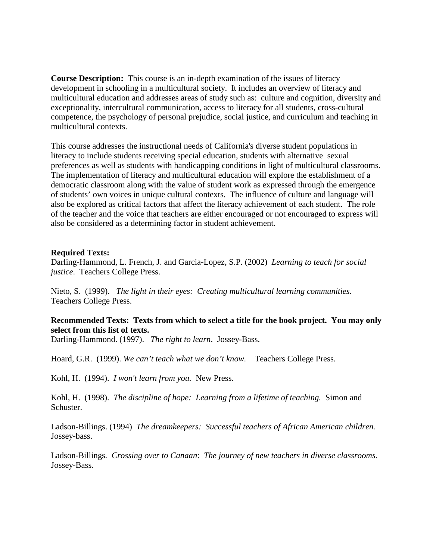**Course Description:** This course is an in-depth examination of the issues of literacy development in schooling in a multicultural society. It includes an overview of literacy and multicultural education and addresses areas of study such as: culture and cognition, diversity and exceptionality, intercultural communication, access to literacy for all students, cross-cultural competence, the psychology of personal prejudice, social justice, and curriculum and teaching in multicultural contexts.

This course addresses the instructional needs of California's diverse student populations in literacy to include students receiving special education, students with alternative sexual preferences as well as students with handicapping conditions in light of multicultural classrooms. The implementation of literacy and multicultural education will explore the establishment of a democratic classroom along with the value of student work as expressed through the emergence of students' own voices in unique cultural contexts. The influence of culture and language will also be explored as critical factors that affect the literacy achievement of each student. The role of the teacher and the voice that teachers are either encouraged or not encouraged to express will also be considered as a determining factor in student achievement.

#### **Required Texts:**

Darling-Hammond, L. French, J. and Garcia-Lopez, S.P. (2002) *Learning to teach for social justice*. Teachers College Press.

Nieto, S. (1999). *The light in their eyes: Creating multicultural learning communities.*  Teachers College Press.

### **Recommended Texts: Texts from which to select a title for the book project. You may only select from this list of texts.**

Darling-Hammond. (1997). *The right to learn*. Jossey-Bass.

Hoard, G.R. (1999). *We can't teach what we don't know.* Teachers College Press.

Kohl, H. (1994). *I won't learn from you.* New Press.

Kohl, H. (1998). *The discipline of hope: Learning from a lifetime of teaching.* Simon and Schuster.

Ladson-Billings. (1994) *The dreamkeepers: Successful teachers of African American children.*  Jossey-bass.

Ladson-Billings*. Crossing over to Canaan*: *The journey of new teachers in diverse classrooms.* Jossey-Bass.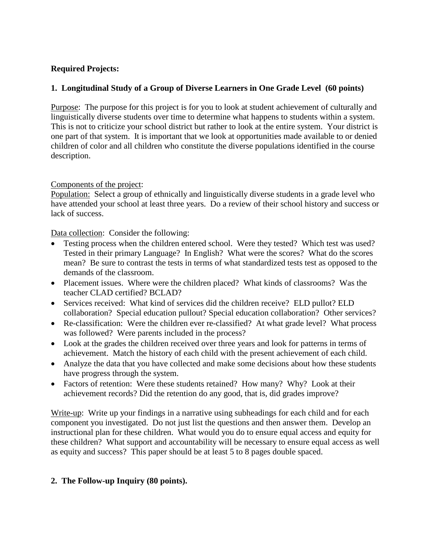## **Required Projects:**

## **1. Longitudinal Study of a Group of Diverse Learners in One Grade Level (60 points)**

Purpose: The purpose for this project is for you to look at student achievement of culturally and linguistically diverse students over time to determine what happens to students within a system. This is not to criticize your school district but rather to look at the entire system. Your district is one part of that system. It is important that we look at opportunities made available to or denied children of color and all children who constitute the diverse populations identified in the course description.

## Components of the project:

Population: Select a group of ethnically and linguistically diverse students in a grade level who have attended your school at least three years. Do a review of their school history and success or lack of success.

Data collection: Consider the following:

- Testing process when the children entered school. Were they tested? Which test was used? Tested in their primary Language? In English? What were the scores? What do the scores mean? Be sure to contrast the tests in terms of what standardized tests test as opposed to the demands of the classroom.
- Placement issues. Where were the children placed? What kinds of classrooms? Was the teacher CLAD certified? BCLAD?
- Services received: What kind of services did the children receive? ELD pullot? ELD collaboration? Special education pullout? Special education collaboration? Other services?
- Re-classification: Were the children ever re-classified? At what grade level? What process was followed? Were parents included in the process?
- Look at the grades the children received over three years and look for patterns in terms of achievement. Match the history of each child with the present achievement of each child.
- Analyze the data that you have collected and make some decisions about how these students have progress through the system.
- Factors of retention: Were these students retained? How many? Why? Look at their achievement records? Did the retention do any good, that is, did grades improve?

Write-up: Write up your findings in a narrative using subheadings for each child and for each component you investigated. Do not just list the questions and then answer them. Develop an instructional plan for these children. What would you do to ensure equal access and equity for these children? What support and accountability will be necessary to ensure equal access as well as equity and success? This paper should be at least 5 to 8 pages double spaced.

## **2. The Follow-up Inquiry (80 points).**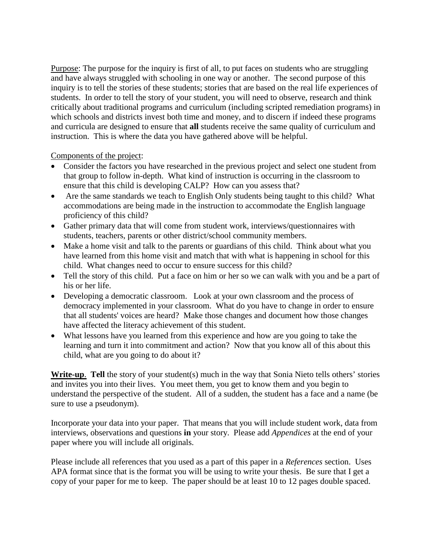Purpose: The purpose for the inquiry is first of all, to put faces on students who are struggling and have always struggled with schooling in one way or another. The second purpose of this inquiry is to tell the stories of these students; stories that are based on the real life experiences of students. In order to tell the story of your student, you will need to observe, research and think critically about traditional programs and curriculum (including scripted remediation programs) in which schools and districts invest both time and money, and to discern if indeed these programs and curricula are designed to ensure that **all** students receive the same quality of curriculum and instruction. This is where the data you have gathered above will be helpful.

Components of the project:

- Consider the factors you have researched in the previous project and select one student from that group to follow in-depth. What kind of instruction is occurring in the classroom to ensure that this child is developing CALP? How can you assess that?
- Are the same standards we teach to English Only students being taught to this child? What accommodations are being made in the instruction to accommodate the English language proficiency of this child?
- Gather primary data that will come from student work, interviews/questionnaires with students, teachers, parents or other district/school community members.
- Make a home visit and talk to the parents or guardians of this child. Think about what you have learned from this home visit and match that with what is happening in school for this child. What changes need to occur to ensure success for this child?
- Tell the story of this child. Put a face on him or her so we can walk with you and be a part of his or her life.
- Developing a democratic classroom. Look at your own classroom and the process of democracy implemented in your classroom. What do you have to change in order to ensure that all students' voices are heard? Make those changes and document how those changes have affected the literacy achievement of this student.
- What lessons have you learned from this experience and how are you going to take the learning and turn it into commitment and action? Now that you know all of this about this child, what are you going to do about it?

**Write-up**. **Tell** the story of your student(s) much in the way that Sonia Nieto tells others' stories and invites you into their lives. You meet them, you get to know them and you begin to understand the perspective of the student. All of a sudden, the student has a face and a name (be sure to use a pseudonym).

Incorporate your data into your paper. That means that you will include student work, data from interviews, observations and questions **in** your story. Please add *Appendices* at the end of your paper where you will include all originals.

Please include all references that you used as a part of this paper in a *References* section. Uses APA format since that is the format you will be using to write your thesis. Be sure that I get a copy of your paper for me to keep. The paper should be at least 10 to 12 pages double spaced.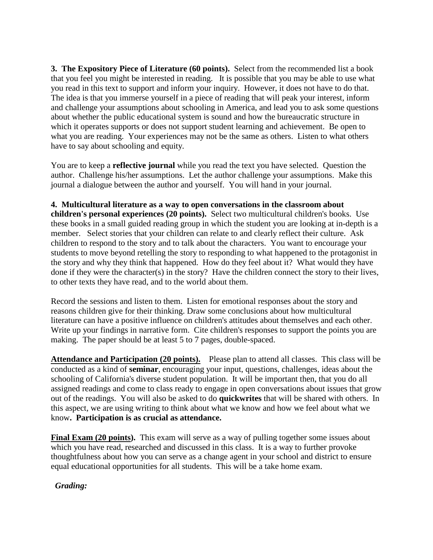**3. The Expository Piece of Literature (60 points).** Select from the recommended list a book that you feel you might be interested in reading. It is possible that you may be able to use what you read in this text to support and inform your inquiry. However, it does not have to do that. The idea is that you immerse yourself in a piece of reading that will peak your interest, inform and challenge your assumptions about schooling in America, and lead you to ask some questions about whether the public educational system is sound and how the bureaucratic structure in which it operates supports or does not support student learning and achievement. Be open to what you are reading. Your experiences may not be the same as others. Listen to what others have to say about schooling and equity.

You are to keep a **reflective journal** while you read the text you have selected. Question the author. Challenge his/her assumptions. Let the author challenge your assumptions. Make this journal a dialogue between the author and yourself. You will hand in your journal.

**4. Multicultural literature as a way to open conversations in the classroom about** 

**children's personal experiences (20 points).** Select two multicultural children's books. Use these books in a small guided reading group in which the student you are looking at in-depth is a member. Select stories that your children can relate to and clearly reflect their culture. Ask children to respond to the story and to talk about the characters. You want to encourage your students to move beyond retelling the story to responding to what happened to the protagonist in the story and why they think that happened. How do they feel about it? What would they have done if they were the character(s) in the story? Have the children connect the story to their lives, to other texts they have read, and to the world about them.

Record the sessions and listen to them. Listen for emotional responses about the story and reasons children give for their thinking. Draw some conclusions about how multicultural literature can have a positive influence on children's attitudes about themselves and each other. Write up your findings in narrative form. Cite children's responses to support the points you are making. The paper should be at least 5 to 7 pages, double-spaced.

**Attendance and Participation (20 points).** Please plan to attend all classes. This class will be conducted as a kind of **seminar**, encouraging your input, questions, challenges, ideas about the schooling of California's diverse student population. It will be important then, that you do all assigned readings and come to class ready to engage in open conversations about issues that grow out of the readings. You will also be asked to do **quickwrites** that will be shared with others. In this aspect, we are using writing to think about what we know and how we feel about what we know**. Participation is as crucial as attendance.**

**Final Exam (20 points).** This exam will serve as a way of pulling together some issues about which you have read, researched and discussed in this class. It is a way to further provoke thoughtfulness about how you can serve as a change agent in your school and district to ensure equal educational opportunities for all students. This will be a take home exam.

 *Grading:*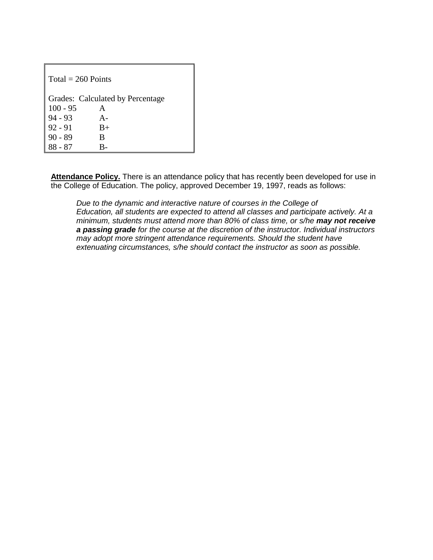| $Total = 260$ Points             |       |  |  |  |  |
|----------------------------------|-------|--|--|--|--|
| Grades: Calculated by Percentage |       |  |  |  |  |
| $100 - 95$                       | A     |  |  |  |  |
| $94 - 93$                        | $A -$ |  |  |  |  |
| $92 - 91$                        | $B+$  |  |  |  |  |
| $90 - 89$                        | B     |  |  |  |  |
| 88 - 87                          |       |  |  |  |  |

Attendance Policy. There is an attendance policy that has recently been developed for use in the College of Education. The policy, approved December 19, 1997, reads as follows:

*Due to the dynamic and interactive nature of courses in the College of Education, all students are expected to attend all classes and participate actively. At a minimum, students must attend more than 80% of class time, or s/he may not receive a passing grade for the course at the discretion of the instructor. Individual instructors may adopt more stringent attendance requirements. Should the student have extenuating circumstances, s/he should contact the instructor as soon as possible.*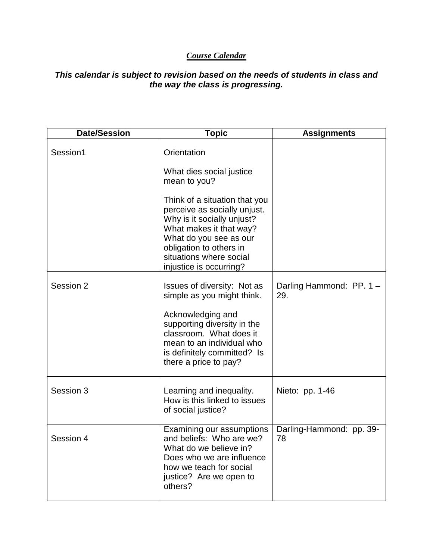# *Course Calendar*

## *This calendar is subject to revision based on the needs of students in class and the way the class is progressing.*

| <b>Date/Session</b> | <b>Topic</b>                                                                                                                                                                                                                      | <b>Assignments</b>              |
|---------------------|-----------------------------------------------------------------------------------------------------------------------------------------------------------------------------------------------------------------------------------|---------------------------------|
| Session1            | Orientation                                                                                                                                                                                                                       |                                 |
|                     | What dies social justice<br>mean to you?                                                                                                                                                                                          |                                 |
|                     | Think of a situation that you<br>perceive as socially unjust.<br>Why is it socially unjust?<br>What makes it that way?<br>What do you see as our<br>obligation to others in<br>situations where social<br>injustice is occurring? |                                 |
| Session 2           | Issues of diversity: Not as<br>simple as you might think.                                                                                                                                                                         | Darling Hammond: PP. 1 -<br>29. |
|                     | Acknowledging and<br>supporting diversity in the<br>classroom. What does it<br>mean to an individual who<br>is definitely committed? Is<br>there a price to pay?                                                                  |                                 |
| Session 3           | Learning and inequality.<br>How is this linked to issues<br>of social justice?                                                                                                                                                    | Nieto: pp. 1-46                 |
| Session 4           | Examining our assumptions<br>and beliefs: Who are we?<br>What do we believe in?<br>Does who we are influence<br>how we teach for social<br>justice? Are we open to<br>others?                                                     | Darling-Hammond: pp. 39-<br>78  |